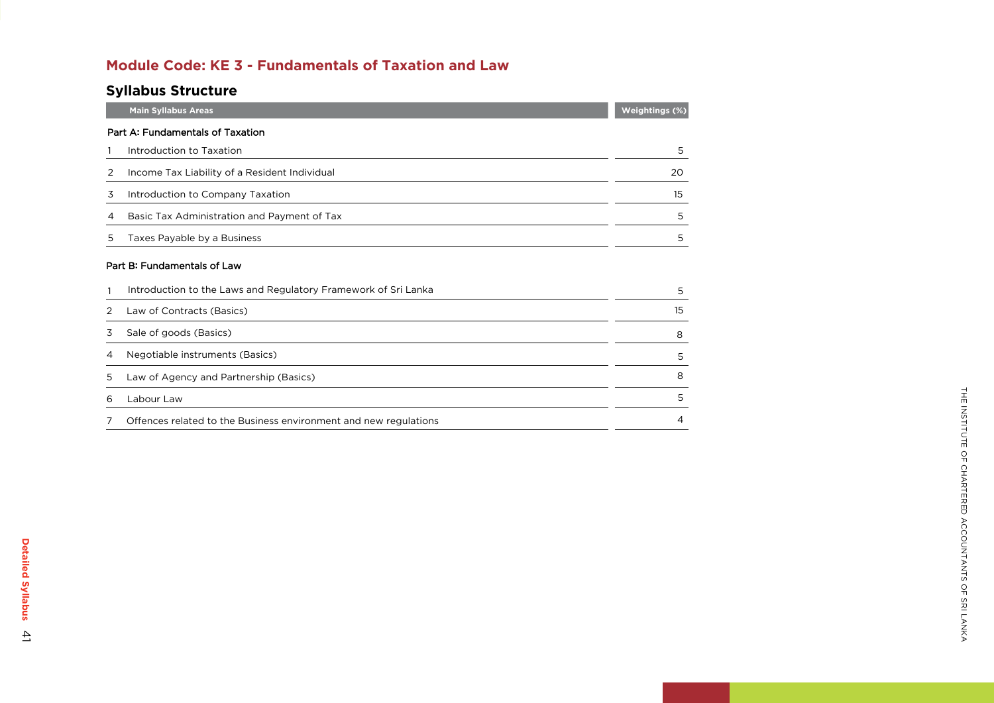### **Module Code: K E 3 - Fundamentals of Taxation and Law**

## **Syllabus Structure**

|   | <b>Main Syllabus Areas</b>                                       | Weightings (%) |
|---|------------------------------------------------------------------|----------------|
|   | Part A: Fundamentals of Taxation                                 |                |
|   | Introduction to Taxation                                         | 5              |
| 2 | Income Tax Liability of a Resident Individual                    | 20             |
| 3 | Introduction to Company Taxation                                 | 15             |
| 4 | Basic Tax Administration and Payment of Tax                      | 5              |
| 5 | Taxes Payable by a Business                                      | 5              |
|   | Part B: Fundamentals of Law                                      |                |
|   | Introduction to the Laws and Regulatory Framework of Sri Lanka   | 5              |
| 2 | Law of Contracts (Basics)                                        | 15             |
| 3 | Sale of goods (Basics)                                           | 8              |
| 4 | Negotiable instruments (Basics)                                  | 5              |
| 5 | Law of Agency and Partnership (Basics)                           | 8              |
| 6 | Labour Law                                                       | 5              |
|   | Offences related to the Business environment and new regulations | 4              |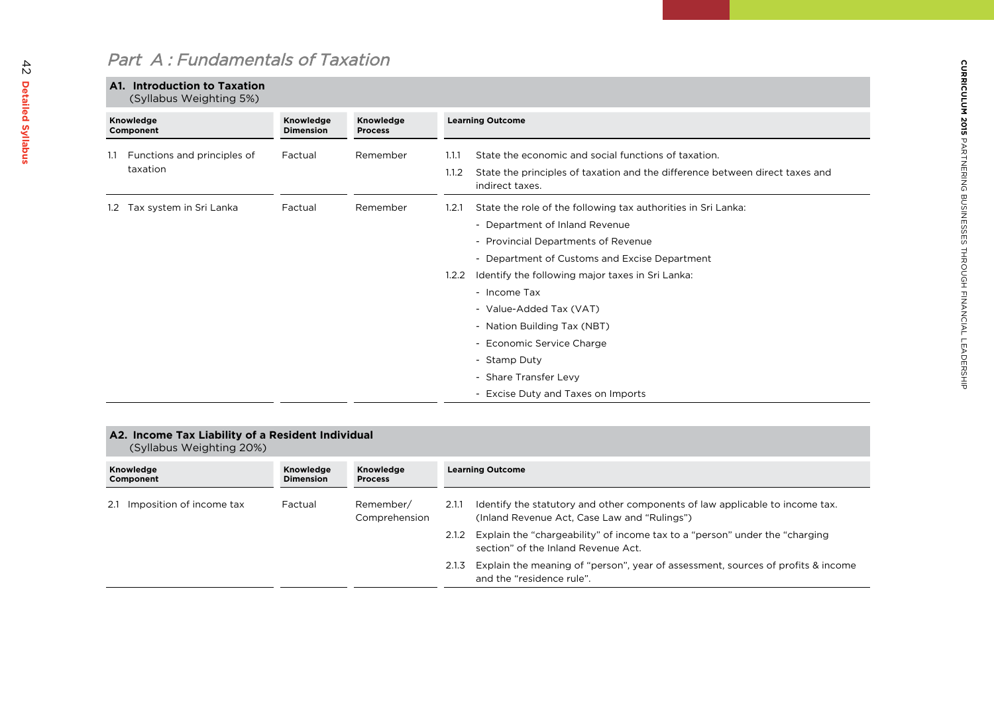# Part A : Fundamentals of Taxation

### **A1. Introduction to Taxation**

(syllabus Weighting 5%)

| Knowledge<br>Component |                                         | Knowledge<br><b>Dimension</b> | Knowledge<br><b>Process</b> |                | <b>Learning Outcome</b>                                                                                                                                                                          |  |
|------------------------|-----------------------------------------|-------------------------------|-----------------------------|----------------|--------------------------------------------------------------------------------------------------------------------------------------------------------------------------------------------------|--|
| 1.1                    | Functions and principles of<br>taxation | Factual                       | Remember                    | 1.1.1<br>1.1.2 | State the economic and social functions of taxation.<br>State the principles of taxation and the difference between direct taxes and<br>indirect taxes.                                          |  |
|                        | 1.2 Tax system in Sri Lanka             | Factual                       | Remember                    | 1.2.1          | State the role of the following tax authorities in Sri Lanka:<br>- Department of Inland Revenue<br>- Provincial Departments of Revenue<br>- Department of Customs and Excise Department          |  |
|                        |                                         |                               |                             | 1.2.2          | Identify the following major taxes in Sri Lanka:<br>- Income Tax<br>- Value-Added Tax (VAT)<br>- Nation Building Tax (NBT)<br>- Economic Service Charge<br>- Stamp Duty<br>- Share Transfer Levy |  |
|                        |                                         |                               |                             |                | - Excise Duty and Taxes on Imports                                                                                                                                                               |  |

#### **A2. Income Tax Liability of a Resident Individual**

(Syllabus Weighting 20%)

| Knowledge<br>Component       | Knowledge<br><b>Dimension</b>                  | Knowledge<br><b>Process</b>                                                                                                  |       | <b>Learning Outcome</b>                                                                                            |
|------------------------------|------------------------------------------------|------------------------------------------------------------------------------------------------------------------------------|-------|--------------------------------------------------------------------------------------------------------------------|
| 2.1 Imposition of income tax | Remember/<br>Factual<br>2.1.1<br>Comprehension | Identify the statutory and other components of law applicable to income tax.<br>(Inland Revenue Act, Case Law and "Rulings") |       |                                                                                                                    |
|                              |                                                |                                                                                                                              | 2.1.2 | Explain the "chargeability" of income tax to a "person" under the "charging<br>section" of the Inland Revenue Act. |
|                              |                                                |                                                                                                                              | 2.1.3 | Explain the meaning of "person", year of assessment, sources of profits & income<br>and the "residence rule".      |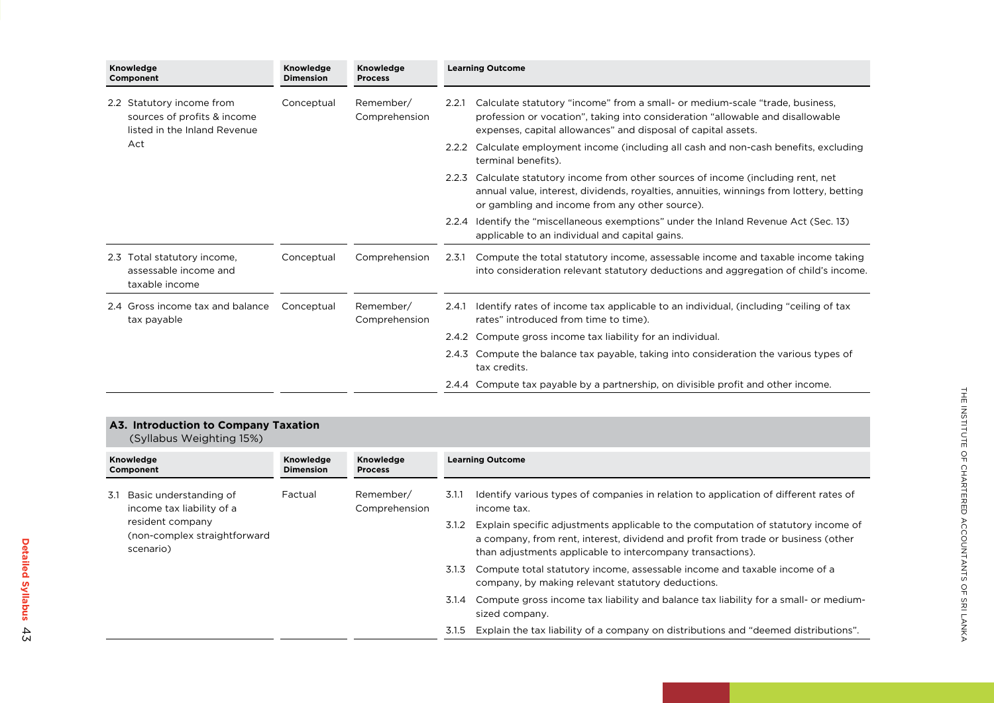| Knowledge<br>Component                                                                   | Knowledge<br><b>Dimension</b> | Knowledge<br><b>Process</b> |       | <b>Learning Outcome</b>                                                                                                                                                                                                         |
|------------------------------------------------------------------------------------------|-------------------------------|-----------------------------|-------|---------------------------------------------------------------------------------------------------------------------------------------------------------------------------------------------------------------------------------|
| 2.2 Statutory income from<br>sources of profits & income<br>listed in the Inland Revenue | Conceptual                    | Remember/<br>Comprehension  | 2.2.1 | Calculate statutory "income" from a small- or medium-scale "trade, business,<br>profession or vocation", taking into consideration "allowable and disallowable<br>expenses, capital allowances" and disposal of capital assets. |
| Act                                                                                      |                               |                             | 2.2.2 | Calculate employment income (including all cash and non-cash benefits, excluding<br>terminal benefits).                                                                                                                         |
|                                                                                          |                               |                             | 2.2.3 | Calculate statutory income from other sources of income (including rent, net<br>annual value, interest, dividends, royalties, annuities, winnings from lottery, betting<br>or gambling and income from any other source).       |
|                                                                                          |                               |                             | 2.2.4 | Identify the "miscellaneous exemptions" under the Inland Revenue Act (Sec. 13)<br>applicable to an individual and capital gains.                                                                                                |
| Total statutory income,<br>2.3<br>assessable income and<br>taxable income                | Conceptual                    | Comprehension               | 2.3.1 | Compute the total statutory income, assessable income and taxable income taking<br>into consideration relevant statutory deductions and aggregation of child's income.                                                          |
| 2.4 Gross income tax and balance<br>tax payable                                          | Conceptual                    | Remember/<br>Comprehension  | 2.4.1 | Identify rates of income tax applicable to an individual, (including "ceiling of tax<br>rates" introduced from time to time).                                                                                                   |
|                                                                                          |                               |                             | 2.4.2 | Compute gross income tax liability for an individual.                                                                                                                                                                           |
|                                                                                          |                               |                             | 2.4.3 | Compute the balance tax payable, taking into consideration the various types of<br>tax credits.                                                                                                                                 |
|                                                                                          |                               |                             |       | 2.4.4 Compute tax payable by a partnership, on divisible profit and other income.                                                                                                                                               |

#### **A3. Introduction to Company Taxation**

(syllabus Weighting 15%)

| Knowledge<br>Component |                                                               | Knowledge<br><b>Dimension</b> | Knowledge<br><b>Process</b> |       | <b>Learning Outcome</b>                                                                                                                                                                                                              |
|------------------------|---------------------------------------------------------------|-------------------------------|-----------------------------|-------|--------------------------------------------------------------------------------------------------------------------------------------------------------------------------------------------------------------------------------------|
| 3.1                    | Basic understanding of<br>income tax liability of a           | Factual                       | Remember/<br>Comprehension  | 3.1.1 | Identify various types of companies in relation to application of different rates of<br>income tax.                                                                                                                                  |
|                        | resident company<br>(non-complex straightforward<br>scenario) |                               |                             | 3.1.2 | Explain specific adjustments applicable to the computation of statutory income of<br>a company, from rent, interest, dividend and profit from trade or business (other<br>than adjustments applicable to intercompany transactions). |
|                        |                                                               |                               |                             | 3.1.3 | Compute total statutory income, assessable income and taxable income of a<br>company, by making relevant statutory deductions.                                                                                                       |
|                        |                                                               |                               |                             | 3.1.4 | Compute gross income tax liability and balance tax liability for a small- or medium-<br>sized company.                                                                                                                               |
|                        |                                                               |                               |                             | 3.1.5 | Explain the tax liability of a company on distributions and "deemed distributions".                                                                                                                                                  |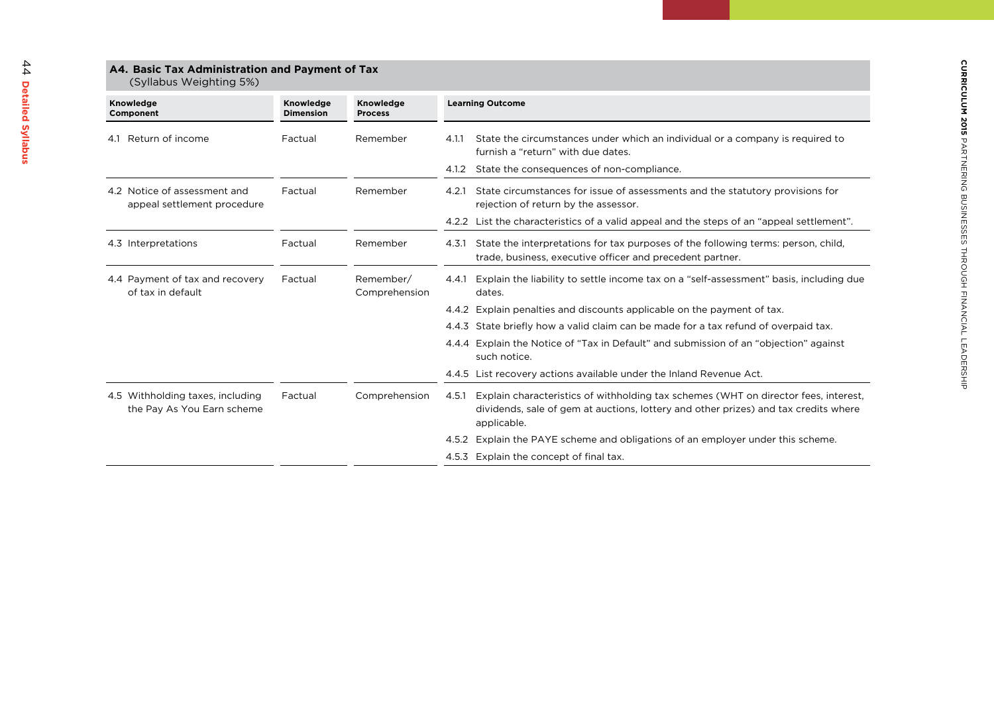| A4. Basic Tax Administration and Payment of Tax<br>(Syllabus Weighting 5%) |                               |                             |                                                                                                                                                                                                    |  |  |
|----------------------------------------------------------------------------|-------------------------------|-----------------------------|----------------------------------------------------------------------------------------------------------------------------------------------------------------------------------------------------|--|--|
| Knowledge<br>Component                                                     | Knowledge<br><b>Dimension</b> | Knowledge<br><b>Process</b> | <b>Learning Outcome</b>                                                                                                                                                                            |  |  |
| Return of income<br>4.1                                                    | Factual                       | Remember                    | State the circumstances under which an individual or a company is required to<br>4.1.1<br>furnish a "return" with due dates.                                                                       |  |  |
|                                                                            |                               |                             | State the consequences of non-compliance.<br>4.1.2                                                                                                                                                 |  |  |
| 4.2 Notice of assessment and<br>appeal settlement procedure                | Factual                       | Remember                    | State circumstances for issue of assessments and the statutory provisions for<br>4.2.1<br>rejection of return by the assessor.                                                                     |  |  |
|                                                                            |                               |                             | 4.2.2 List the characteristics of a valid appeal and the steps of an "appeal settlement".                                                                                                          |  |  |
| 4.3 Interpretations                                                        | Factual                       | Remember                    | State the interpretations for tax purposes of the following terms: person, child,<br>4.3.1<br>trade, business, executive officer and precedent partner.                                            |  |  |
| 4.4 Payment of tax and recovery<br>of tax in default                       | Factual                       | Remember/<br>Comprehension  | Explain the liability to settle income tax on a "self-assessment" basis, including due<br>4.4.1<br>dates.                                                                                          |  |  |
|                                                                            |                               |                             | 4.4.2 Explain penalties and discounts applicable on the payment of tax.                                                                                                                            |  |  |
|                                                                            |                               |                             | 4.4.3 State briefly how a valid claim can be made for a tax refund of overpaid tax.                                                                                                                |  |  |
|                                                                            |                               |                             | 4.4.4 Explain the Notice of "Tax in Default" and submission of an "objection" against<br>such notice.                                                                                              |  |  |
|                                                                            |                               |                             | 4.4.5 List recovery actions available under the Inland Revenue Act.                                                                                                                                |  |  |
| 4.5 Withholding taxes, including<br>the Pay As You Earn scheme             | Factual                       | Comprehension               | Explain characteristics of withholding tax schemes (WHT on director fees, interest,<br>4.5.1<br>dividends, sale of gem at auctions, lottery and other prizes) and tax credits where<br>applicable. |  |  |
|                                                                            |                               |                             | 4.5.2 Explain the PAYE scheme and obligations of an employer under this scheme.                                                                                                                    |  |  |
|                                                                            |                               |                             | 4.5.3 Explain the concept of final tax.                                                                                                                                                            |  |  |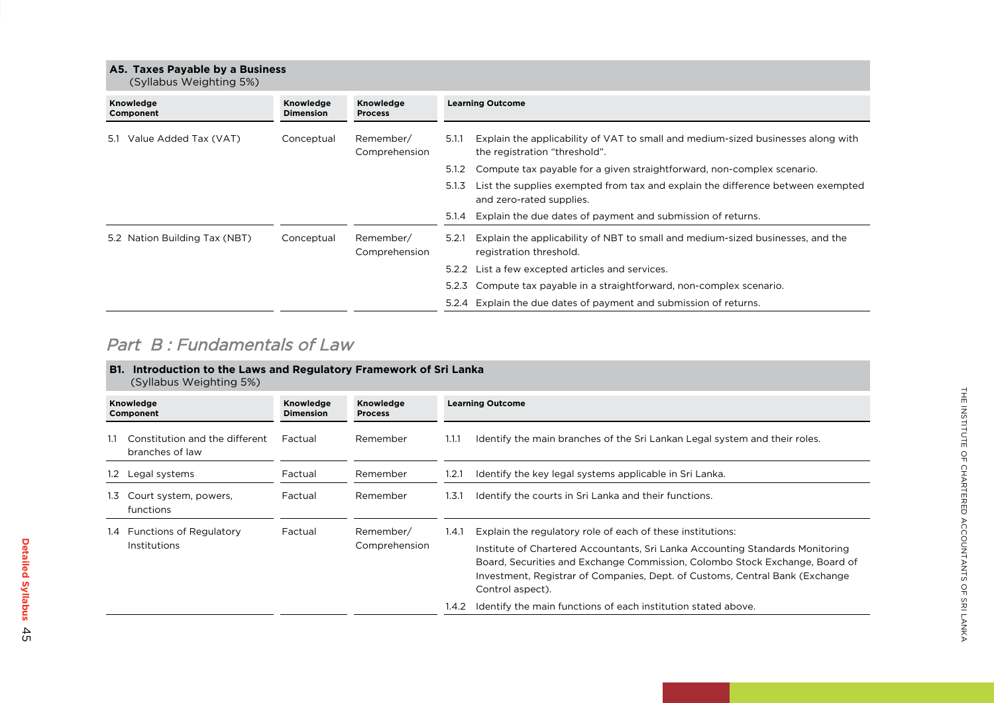### **A5. Taxes Payable by a Business**

(Syllabus Weighting 5%)

| Explain the applicability of VAT to small and medium-sized businesses along with |
|----------------------------------------------------------------------------------|
| Compute tax payable for a given straightforward, non-complex scenario.           |
| List the supplies exempted from tax and explain the difference between exempted  |
|                                                                                  |
| Explain the applicability of NBT to small and medium-sized businesses, and the   |
|                                                                                  |
| Compute tax payable in a straightforward, non-complex scenario.                  |
|                                                                                  |
|                                                                                  |

## Part **B** : Fundamentals of Law

|                        | <b>B1. Introduction to the Laws and Regulatory Framework of Sri Lanka</b><br>(Syllabus Weighting 5%) |                               |                                                        |       |                                                                                                                                                                                                                                                                                                                                |  |  |  |
|------------------------|------------------------------------------------------------------------------------------------------|-------------------------------|--------------------------------------------------------|-------|--------------------------------------------------------------------------------------------------------------------------------------------------------------------------------------------------------------------------------------------------------------------------------------------------------------------------------|--|--|--|
| Knowledge<br>Component |                                                                                                      | Knowledge<br><b>Dimension</b> | Knowledge<br><b>Learning Outcome</b><br><b>Process</b> |       |                                                                                                                                                                                                                                                                                                                                |  |  |  |
|                        | Constitution and the different<br>branches of law                                                    | Factual                       | Remember                                               | 1.1.1 | Identify the main branches of the Sri Lankan Legal system and their roles.                                                                                                                                                                                                                                                     |  |  |  |
| $1.2^{\circ}$          | _egal systems                                                                                        | Factual                       | Remember                                               | 1.2.1 | Identify the key legal systems applicable in Sri Lanka.                                                                                                                                                                                                                                                                        |  |  |  |
| 1.3 <sub>1</sub>       | Court system, powers,<br>functions                                                                   | Factual                       | Remember                                               | 1.3.1 | Identify the courts in Sri Lanka and their functions.                                                                                                                                                                                                                                                                          |  |  |  |
|                        | 1.4 Functions of Regulatory<br>Institutions                                                          | Factual                       | Remember/<br>Comprehension                             | 1.4.1 | Explain the regulatory role of each of these institutions:<br>Institute of Chartered Accountants, Sri Lanka Accounting Standards Monitoring<br>Board, Securities and Exchange Commission, Colombo Stock Exchange, Board of<br>Investment, Registrar of Companies, Dept. of Customs, Central Bank (Exchange<br>Control aspect). |  |  |  |
|                        |                                                                                                      |                               |                                                        | 1.4.2 | Identify the main functions of each institution stated above.                                                                                                                                                                                                                                                                  |  |  |  |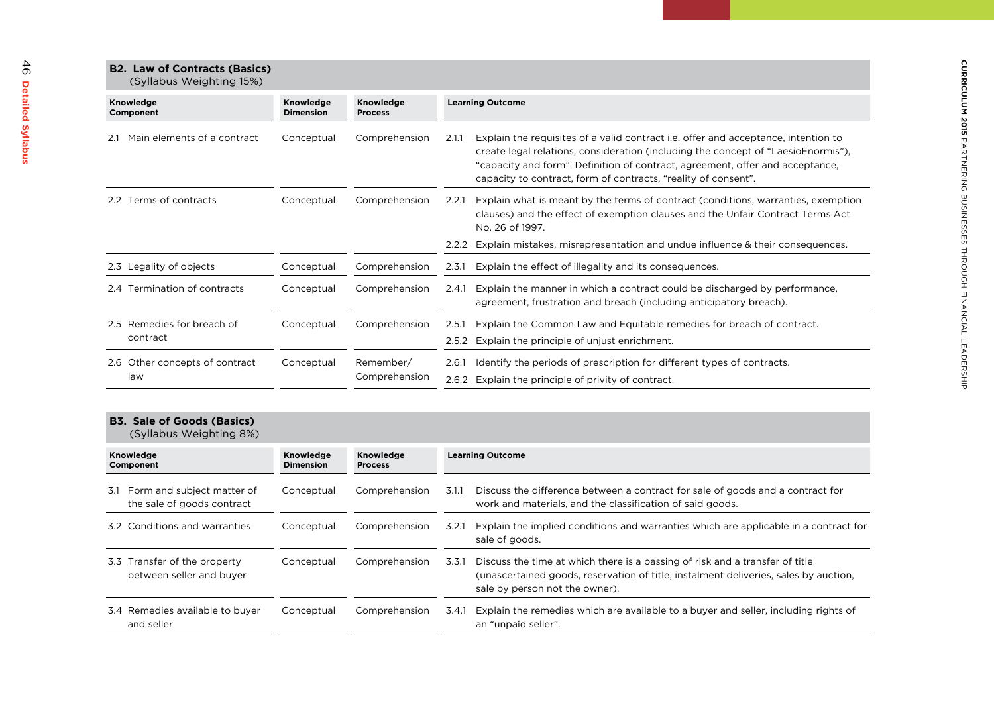# **B2. Law of Contracts (Basics)**

| <b>BZ. Law OF CONTRACTS (BasiCS)</b> |  |
|--------------------------------------|--|
| (Syllabus Weighting 15%)             |  |

| Knowledge<br>Component             | Knowledge<br><b>Dimension</b> | Knowledge<br><b>Process</b> | <b>Learning Outcome</b>                                                                                                                                                                                                                                                                                                             |
|------------------------------------|-------------------------------|-----------------------------|-------------------------------------------------------------------------------------------------------------------------------------------------------------------------------------------------------------------------------------------------------------------------------------------------------------------------------------|
| Main elements of a contract<br>2.1 | Conceptual                    | Comprehension               | Explain the requisites of a valid contract i.e. offer and acceptance, intention to<br>2.1.1<br>create legal relations, consideration (including the concept of "LaesioEnormis"),<br>"capacity and form". Definition of contract, agreement, offer and acceptance,<br>capacity to contract, form of contracts, "reality of consent". |
| Ferms of contracts<br>2.2          | Conceptual                    | Comprehension               | Explain what is meant by the terms of contract (conditions, warranties, exemption<br>2.2.1<br>clauses) and the effect of exemption clauses and the Unfair Contract Terms Act<br>No. 26 of 1997.                                                                                                                                     |
|                                    |                               |                             | Explain mistakes, misrepresentation and undue influence & their consequences.<br>2.2.2                                                                                                                                                                                                                                              |
| 2.3 Legality of objects            | Conceptual                    | Comprehension               | Explain the effect of illegality and its consequences.<br>2.3.1                                                                                                                                                                                                                                                                     |
| Fermination of contracts<br>2.4 T  | Conceptual                    | Comprehension               | Explain the manner in which a contract could be discharged by performance,<br>2.4.1<br>agreement, frustration and breach (including anticipatory breach).                                                                                                                                                                           |
| 2.5 Remedies for breach of         | Conceptual                    | Comprehension               | Explain the Common Law and Equitable remedies for breach of contract.<br>2.5.1                                                                                                                                                                                                                                                      |
| contract                           |                               |                             | Explain the principle of unjust enrichment.<br>2.5.2                                                                                                                                                                                                                                                                                |
| 2.6 Other concepts of contract     | Conceptual                    | Remember/                   | Identify the periods of prescription for different types of contracts.<br>2.6.1                                                                                                                                                                                                                                                     |
| law                                |                               | Comprehension               | 2.6.2 Explain the principle of privity of contract.                                                                                                                                                                                                                                                                                 |

### **B3. Sale of Goods (Basics)**

| (Syllabus Weighting 8%)                                      |                               |                                    |                                                                                                                                                                                                                 |  |  |  |
|--------------------------------------------------------------|-------------------------------|------------------------------------|-----------------------------------------------------------------------------------------------------------------------------------------------------------------------------------------------------------------|--|--|--|
| Knowledge<br>Component                                       | Knowledge<br><b>Dimension</b> | <b>Knowledge</b><br><b>Process</b> | <b>Learning Outcome</b>                                                                                                                                                                                         |  |  |  |
| 3.1 Form and subject matter of<br>the sale of goods contract | Conceptual                    | Comprehension                      | Discuss the difference between a contract for sale of goods and a contract for<br>3.1.1<br>work and materials, and the classification of said goods.                                                            |  |  |  |
| 3.2 Conditions and warranties                                | Conceptual                    | Comprehension                      | Explain the implied conditions and warranties which are applicable in a contract for<br>3.2.1<br>sale of goods.                                                                                                 |  |  |  |
| 3.3 Transfer of the property<br>between seller and buyer     | Conceptual                    | Comprehension                      | Discuss the time at which there is a passing of risk and a transfer of title<br>3.3.1<br>(unascertained goods, reservation of title, instalment deliveries, sales by auction,<br>sale by person not the owner). |  |  |  |
| 3.4 Remedies available to buyer<br>and seller                | Conceptual                    | Comprehension                      | Explain the remedies which are available to a buyer and seller, including rights of<br>3.4.1<br>an "unpaid seller".                                                                                             |  |  |  |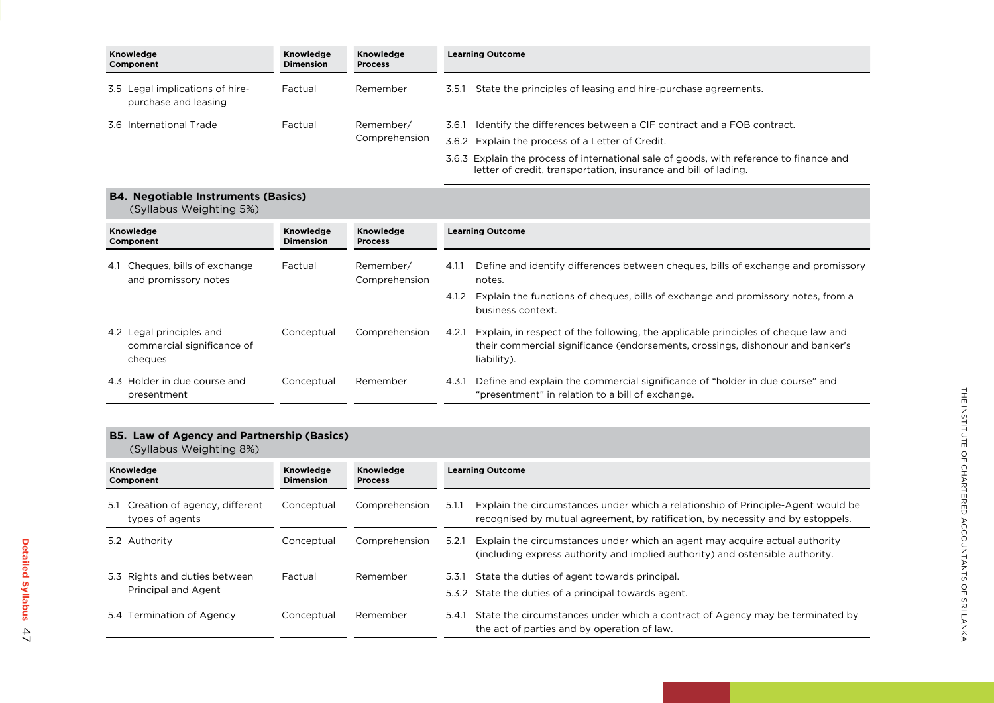| Knowledge<br>Component                                  | Knowledge<br><b>Dimension</b> | Knowledge<br><b>Process</b>                      | <b>Learning Outcome</b>                                                                                                                                    |
|---------------------------------------------------------|-------------------------------|--------------------------------------------------|------------------------------------------------------------------------------------------------------------------------------------------------------------|
| 3.5 Legal implications of hire-<br>purchase and leasing | Factual                       | Remember                                         | State the principles of leasing and hire-purchase agreements.<br>3.5.1                                                                                     |
| 3.6 International Trade                                 | Factual                       | Remember/                                        | Identify the differences between a CIF contract and a FOB contract.<br>3.6.1                                                                               |
|                                                         | Comprehension                 | 3.6.2 Explain the process of a Letter of Credit. |                                                                                                                                                            |
|                                                         |                               |                                                  | 3.6.3 Explain the process of international sale of goods, with reference to finance and<br>letter of credit, transportation, insurance and bill of lading. |

**B4. Negotiable Instruments (Basics)** (Syllabus Weighting 5%)

| Knowledge<br>Component                                            | Knowledge<br><b>Dimension</b> | Knowledge<br><b>Process</b> | <b>Learning Outcome</b> |                                                                                                                                                                                    |
|-------------------------------------------------------------------|-------------------------------|-----------------------------|-------------------------|------------------------------------------------------------------------------------------------------------------------------------------------------------------------------------|
| Cheques, bills of exchange<br>4.1<br>and promissory notes         | Factual                       | Remember/<br>Comprehension  | 4.1.1                   | Define and identify differences between cheques, bills of exchange and promissory<br>notes.                                                                                        |
|                                                                   |                               |                             | 4.1.2                   | Explain the functions of cheques, bills of exchange and promissory notes, from a<br>business context.                                                                              |
| 4.2 Legal principles and<br>commercial significance of<br>cheques | Conceptual                    | Comprehension               | 4.2.1                   | Explain, in respect of the following, the applicable principles of cheque law and<br>their commercial significance (endorsements, crossings, dishonour and banker's<br>liability). |
| 4.3 Holder in due course and<br>presentment                       | Conceptual                    | Remember                    | 4.3.1                   | Define and explain the commercial significance of "holder in due course" and<br>"presentment" in relation to a bill of exchange.                                                   |

#### **B5. Law of Agency and Partnership (Basics)**

(syllabus Weighting 8%)

| Knowledge<br>Component                                  | Knowledge<br><b>Dimension</b> | Knowledge<br><b>Process</b> | <b>Learning Outcome</b>                                                                                                                                                      |  |
|---------------------------------------------------------|-------------------------------|-----------------------------|------------------------------------------------------------------------------------------------------------------------------------------------------------------------------|--|
| Creation of agency, different<br>5.1<br>types of agents | Conceptual                    | Comprehension               | Explain the circumstances under which a relationship of Principle-Agent would be<br>5.1.1<br>recognised by mutual agreement, by ratification, by necessity and by estoppels. |  |
| 5.2 Authority                                           | Conceptual                    | Comprehension               | Explain the circumstances under which an agent may acquire actual authority<br>5.2.1<br>(including express authority and implied authority) and ostensible authority.        |  |
| 5.3 Rights and duties between<br>Principal and Agent    | Factual                       | Remember                    | State the duties of agent towards principal.<br>5.3.1<br>5.3.2 State the duties of a principal towards agent.                                                                |  |
| Termination of Agency<br>5.4                            | Conceptual                    | Remember                    | State the circumstances under which a contract of Agency may be terminated by<br>5.4.1<br>the act of parties and by operation of law.                                        |  |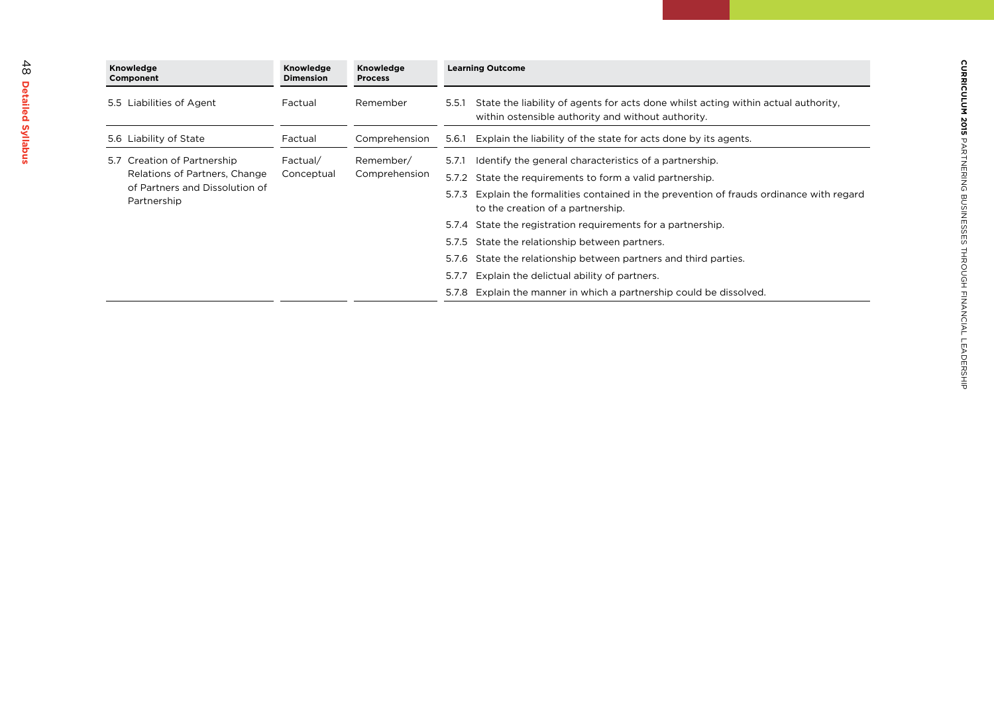| Knowledge<br>Knowledge<br>Knowledge<br><b>Dimension</b><br>Component<br><b>Process</b> |                                                                                                               |                        | <b>Learning Outcome</b>    |                                                                                                                                                   |
|----------------------------------------------------------------------------------------|---------------------------------------------------------------------------------------------------------------|------------------------|----------------------------|---------------------------------------------------------------------------------------------------------------------------------------------------|
|                                                                                        | 5.5 Liabilities of Agent                                                                                      | Factual                | Remember                   | State the liability of agents for acts done whilst acting within actual authority.<br>5.5.1<br>within ostensible authority and without authority. |
|                                                                                        | 5.6 Liability of State                                                                                        | Factual                | Comprehension              | Explain the liability of the state for acts done by its agents.<br>5.6.1                                                                          |
|                                                                                        | 5.7 Creation of Partnership<br>Relations of Partners, Change<br>of Partners and Dissolution of<br>Partnership | Factual/<br>Conceptual | Remember/<br>Comprehension | Identify the general characteristics of a partnership.<br>5.7.1                                                                                   |
|                                                                                        |                                                                                                               |                        |                            | 5.7.2 State the requirements to form a valid partnership.                                                                                         |
|                                                                                        |                                                                                                               |                        |                            | Explain the formalities contained in the prevention of frauds ordinance with regard<br>5.7.3<br>to the creation of a partnership.                 |
|                                                                                        |                                                                                                               |                        |                            | 5.7.4 State the registration requirements for a partnership.                                                                                      |
|                                                                                        |                                                                                                               |                        |                            | 5.7.5 State the relationship between partners.                                                                                                    |
|                                                                                        |                                                                                                               |                        |                            | 5.7.6 State the relationship between partners and third parties.                                                                                  |
|                                                                                        |                                                                                                               |                        |                            | Explain the delictual ability of partners.<br>5.7.7                                                                                               |
|                                                                                        |                                                                                                               |                        |                            | 5.7.8 Explain the manner in which a partnership could be dissolved.                                                                               |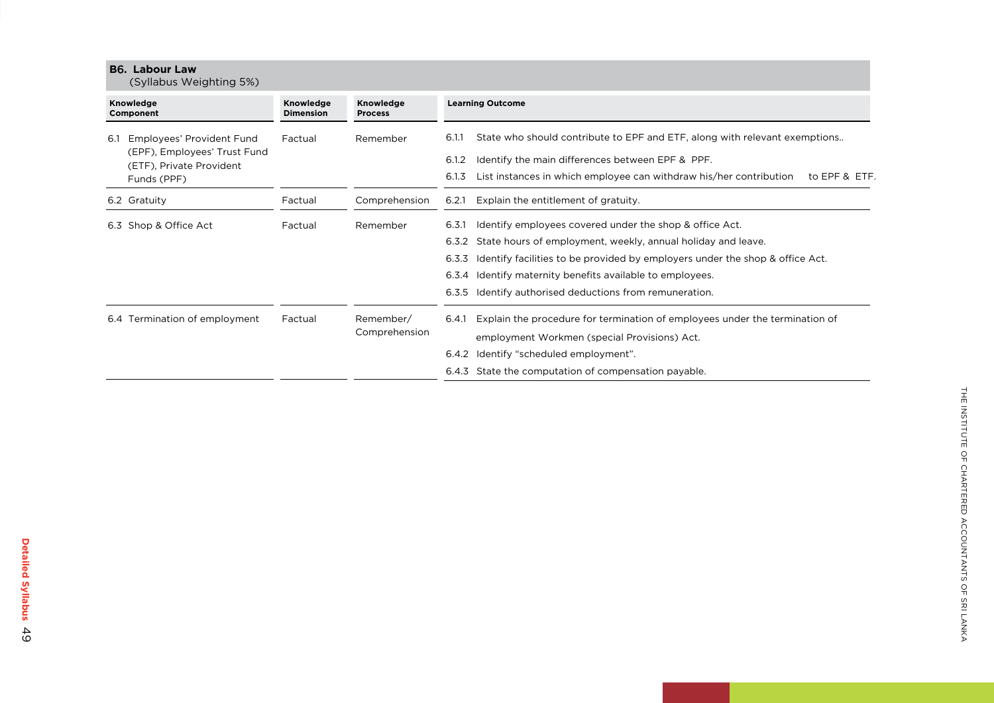|                        | <b>B6. Labour Law</b><br>(Syllabus Weighting 5%)                                                     |                               |                             |                                                                                                                                                                                                                                                                                                                                                                  |  |
|------------------------|------------------------------------------------------------------------------------------------------|-------------------------------|-----------------------------|------------------------------------------------------------------------------------------------------------------------------------------------------------------------------------------------------------------------------------------------------------------------------------------------------------------------------------------------------------------|--|
| Knowledge<br>Component |                                                                                                      | Knowledge<br><b>Dimension</b> | Knowledge<br><b>Process</b> | <b>Learning Outcome</b>                                                                                                                                                                                                                                                                                                                                          |  |
| 6.1                    | Employees' Provident Fund<br>(EPF), Employees' Trust Fund<br>(ETF), Private Provident<br>Funds (PPF) | Factual                       | Remember                    | State who should contribute to EPF and ETF, along with relevant exemptions<br>6.1<br>Identify the main differences between EPF & PPF.<br>6.1<br>.2<br>List instances in which employee can withdraw his/her contribution<br>6.1.3<br>to EPF & ETF.                                                                                                               |  |
|                        | 6.2 Gratuity                                                                                         | Factual                       | Comprehension               | Explain the entitlement of gratuity.<br>6.2.1                                                                                                                                                                                                                                                                                                                    |  |
|                        | 6.3 Shop & Office Act                                                                                | Factual                       | Remember                    | Identify employees covered under the shop & office Act.<br>6.3.1<br>State hours of employment, weekly, annual holiday and leave.<br>6.3.2<br>Identify facilities to be provided by employers under the shop & office Act.<br>6.3.3<br>Identify maternity benefits available to employees.<br>6.3.4<br>Identify authorised deductions from remuneration.<br>6.3.5 |  |
|                        | 6.4 Termination of employment                                                                        | Factual                       | Remember/<br>Comprehension  | Explain the procedure for termination of employees under the termination of<br>6.4.1<br>employment Workmen (special Provisions) Act.<br>ldentify "scheduled employment".<br>6.4.2<br>6.4.3 State the computation of compensation payable.                                                                                                                        |  |

Detailed Syllabus 49

**Detailed Syllabus**